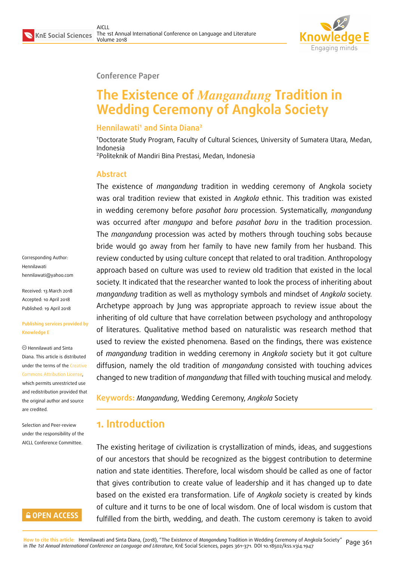

#### **Conference Paper**

# **The Existence of** *Mangandung* **Tradition in Wedding Ceremony of Angkola Society**

#### **Hennilawati<sup>1</sup> and Sinta Diana<sup>2</sup>**

<sup>1</sup>Doctorate Study Program, Faculty of Cultural Sciences, University of Sumatera Utara, Medan, Indonesia

<sup>2</sup>Politeknik of Mandiri Bina Prestasi, Medan, Indonesia

#### **Abstract**

The existence of *mangandung* tradition in wedding ceremony of Angkola society was oral tradition review that existed in *Angkola* ethnic. This tradition was existed in wedding ceremony before *pasahat boru* procession. Systematically, *mangandung* was occurred after *mangupa* and before *pasahat boru* in the tradition procession. The *mangandung* procession was acted by mothers through touching sobs because bride would go away from her family to have new family from her husband. This review conducted by using culture concept that related to oral tradition. Anthropology approach based on culture was used to review old tradition that existed in the local society. It indicated that the researcher wanted to look the process of inheriting about *mangandung* tradition as well as mythology symbols and mindset of *Angkola* society. Archetype approach by Jung was appropriate approach to review issue about the inheriting of old culture that have correlation between psychology and anthropology of literatures. Qualitative method based on naturalistic was research method that used to review the existed phenomena. Based on the findings, there was existence of *mangandung* tradition in wedding ceremony in *Angkola* society but it got culture diffusion, namely the old tradition of *mangandung* consisted with touching advices changed to new tradition of *mangandung* that filled with touching musical and melody.

Corresponding Author: Hennilawati hennilawati@yahoo.com

Received: 13 March 2018 Accepted: 10 April 2018 [Published: 19 April 2018](mailto:hennilawati@yahoo.com)

#### **Publishing services provided by Knowledge E**

Hennilawati and Sinta Diana. This article is distributed under the terms of the Creative Commons Attribution License, which permits unrestricted use and redistribution provided that the original author and [source](https://creativecommons.org/licenses/by/4.0/) [are credited.](https://creativecommons.org/licenses/by/4.0/)

Selection and Peer-review under the responsibility of the AICLL Conference Committee.

#### **GOPEN ACCESS**

**Keywords:** *Mangandung*, Wedding Ceremony, *Angkola* Society

# **1. Introduction**

The existing heritage of civilization is crystallization of minds, ideas, and suggestions of our ancestors that should be recognized as the biggest contribution to determine nation and state identities. Therefore, local wisdom should be called as one of factor that gives contribution to create value of leadership and it has changed up to date based on the existed era transformation. Life of *Angkola* society is created by kinds of culture and it turns to be one of local wisdom. One of local wisdom is custom that fulfilled from the birth, wedding, and death. The custom ceremony is taken to avoid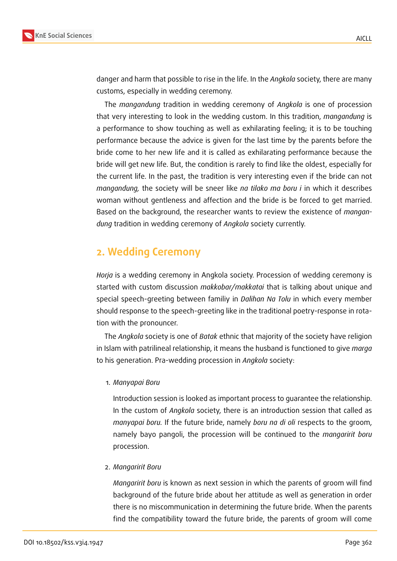

danger and harm that possible to rise in the life. In the *Angkola* society, there are many customs, especially in wedding ceremony.

The *mangandung* tradition in wedding ceremony of *Angkola* is one of procession that very interesting to look in the wedding custom. In this tradition, *mangandung* is a performance to show touching as well as exhilarating feeling; it is to be touching performance because the advice is given for the last time by the parents before the bride come to her new life and it is called as exhilarating performance because the bride will get new life. But, the condition is rarely to find like the oldest, especially for the current life. In the past, the tradition is very interesting even if the bride can not *mangandung,* the society will be sneer like *na tilako ma boru i* in which it describes woman without gentleness and affection and the bride is be forced to get married. Based on the background, the researcher wants to review the existence of *mangandung* tradition in wedding ceremony of *Angkola* society currently.

# **2. Wedding Ceremony**

*Horja* is a wedding ceremony in Angkola society. Procession of wedding ceremony is started with custom discussion *makkobar/makkatai* that is talking about unique and special speech-greeting between familiy in *Dalihan Na Tolu* in which every member should response to the speech-greeting like in the traditional poetry-response in rotation with the pronouncer.

The *Angkola* society is one of *Batak* ethnic that majority of the society have religion in Islam with patrilineal relationship, it means the husband is functioned to give *marga* to his generation. Pra-wedding procession in *Angkola* society:

1. *Manyapai Boru*

Introduction session is looked as important process to guarantee the relationship. In the custom of *Angkola* society, there is an introduction session that called as *manyapai boru.* If the future bride, namely *boru na di oli* respects to the groom, namely bayo pangoli, the procession will be continued to the *mangaririt boru* procession.

2. *Mangaririt Boru*

*Mangaririt boru* is known as next session in which the parents of groom will find background of the future bride about her attitude as well as generation in order there is no miscommunication in determining the future bride. When the parents find the compatibility toward the future bride, the parents of groom will come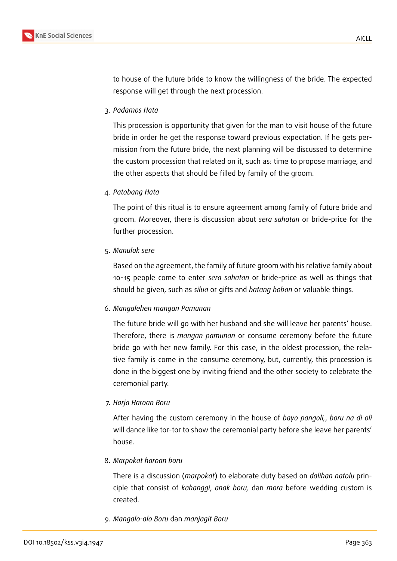

to house of the future bride to know the willingness of the bride. The expected response will get through the next procession.

3. *Padamos Hata*

This procession is opportunity that given for the man to visit house of the future bride in order he get the response toward previous expectation. If he gets permission from the future bride, the next planning will be discussed to determine the custom procession that related on it, such as: time to propose marriage, and the other aspects that should be filled by family of the groom.

4. *Patobang Hata*

The point of this ritual is to ensure agreement among family of future bride and groom. Moreover, there is discussion about *sera sahatan* or bride-price for the further procession.

5. *Manulak sere*

Based on the agreement, the family of future groom with his relative family about 10-15 people come to enter *sera sahatan* or bride-price as well as things that should be given, such as *silua* or gifts and *batang boban* or valuable things.

6. *Mangalehen mangan Pamunan*

The future bride will go with her husband and she will leave her parents' house. Therefore, there is *mangan pamunan* or consume ceremony before the future bride go with her new family. For this case, in the oldest procession, the relative family is come in the consume ceremony, but, currently, this procession is done in the biggest one by inviting friend and the other society to celebrate the ceremonial party.

7. *Horja Haroan Boru*

After having the custom ceremony in the house of *bayo pangoli,*, *boru na di oli* will dance like tor-tor to show the ceremonial party before she leave her parents' house.

8. *Marpokat haroan boru*

There is a discussion (*marpokat*) to elaborate duty based on *dalihan natolu* principle that consist of *kahanggi*, *anak boru,* dan *mora* before wedding custom is created.

9. *Mangalo-alo Boru* dan *manjagit Boru*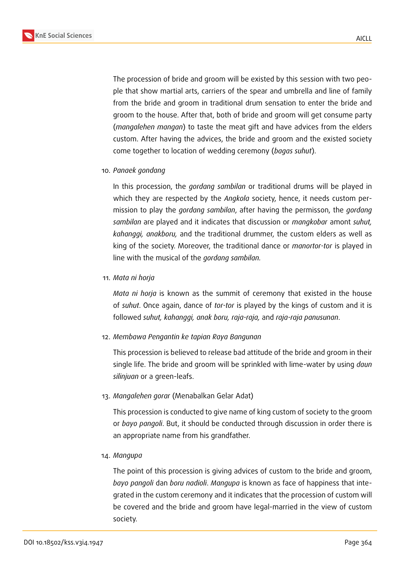

The procession of bride and groom will be existed by this session with two people that show martial arts, carriers of the spear and umbrella and line of family from the bride and groom in traditional drum sensation to enter the bride and groom to the house. After that, both of bride and groom will get consume party (*mangalehen mangan*) to taste the meat gift and have advices from the elders custom. After having the advices, the bride and groom and the existed society come together to location of wedding ceremony (*bagas suhut*).

10. *Panaek gondang*

In this procession, the *gordang sambilan* or traditional drums will be played in which they are respected by the *Angkola* society, hence, it needs custom permission to play the *gordang sambilan*, after having the permisson, the *gordang sambilan* are played and it indicates that discussion or *mangkobar* amont *suhut, kahanggi, anakboru,* and the traditional drummer, the custom elders as well as king of the society. Moreover, the traditional dance or *manortor-tor* is played in line with the musical of the *gordang sambilan.*

11. *Mata ni horja*

*Mata ni horja* is known as the summit of ceremony that existed in the house of *suhut*. Once again, dance of *tor-tor* is played by the kings of custom and it is followed *suhut, kahanggi, anak boru, raja-raja,* and *raja-raja panusunan*.

12. *Membawa Pengantin ke tapian Raya Bangunan*

This procession is believed to release bad attitude of the bride and groom in their single life. The bride and groom will be sprinkled with lime-water by using *daun silinjuan* or a green-leafs.

13. *Mangalehen gorar* (Menabalkan Gelar Adat)

This procession is conducted to give name of king custom of society to the groom or *bayo pangoli*. But, it should be conducted through discussion in order there is an appropriate name from his grandfather.

14. *Mangupa*

The point of this procession is giving advices of custom to the bride and groom, *bayo pangoli* dan *boru nadioli*. *Mangupa* is known as face of happiness that integrated in the custom ceremony and it indicates that the procession of custom will be covered and the bride and groom have legal-married in the view of custom society.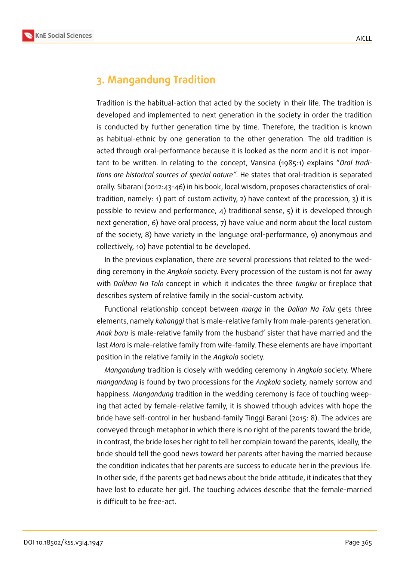

# **3. Mangandung Tradition**

Tradition is the habitual-action that acted by the society in their life. The tradition is developed and implemented to next generation in the society in order the tradition is conducted by further generation time by time. Therefore, the tradition is known as habitual-ethnic by one generation to the other generation. The old tradition is acted through oral-performance because it is looked as the norm and it is not important to be written. In relating to the concept, Vansina (1985:1) explains "*Oral traditions are historical sources of special nature"*. He states that oral-tradition is separated orally. Sibarani (2012:43-46) in his book, local wisdom, proposes characteristics of oraltradition, namely: 1) part of custom activity, 2) have context of the procession, 3) it is possible to review and performance, 4) traditional sense, 5) it is developed through next generation, 6) have oral process, 7) have value and norm about the local custom of the society, 8) have variety in the language oral-performance, 9) anonymous and collectively, 10) have potential to be developed.

In the previous explanation, there are several processions that related to the wedding ceremony in the *Angkola* society. Every procession of the custom is not far away with *Dalihan Na Tolo* concept in which it indicates the three *tungku* or fireplace that describes system of relative family in the social-custom activity.

Functional relationship concept between *marga* in the *Dalian Na Tolu* gets three elements, namely *kahanggi* that is male-relative family from male-parents generation. *Anak boru* is male-relative family from the husband' sister that have married and the last *Mora* is male-relative family from wife-family. These elements are have important position in the relative family in the *Angkola* society.

*Mangandung* tradition is closely with wedding ceremony in *Angkola* society. Where *mangandung* is found by two processions for the *Angkola* society, namely sorrow and happiness. *Mangandung* tradition in the wedding ceremony is face of touching weeping that acted by female-relative family, it is showed trhough advices with hope the bride have self-control in her husband-family Tinggi Barani (2015: 8). The advices are conveyed through metaphor in which there is no right of the parents toward the bride, in contrast, the bride loses her right to tell her complain toward the parents, ideally, the bride should tell the good news toward her parents after having the married because the condition indicates that her parents are success to educate her in the previous life. In other side, if the parents get bad news about the bride attitude, it indicates that they have lost to educate her girl. The touching advices describe that the female-married is difficult to be free-act.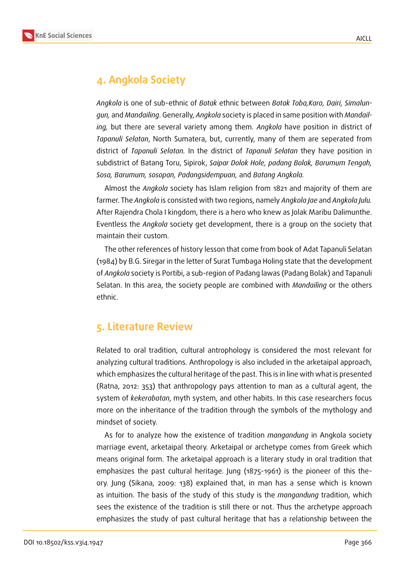

# **4. Angkola Society**

*Angkola* is one of sub-ethnic of *Batak* ethnic between *Batak Toba,Karo, Dairi, Simalungun,* and *Mandailing*. Generally, *Angkola* society is placed in same position with *Mandailing,* but there are several variety among them. *Angkola* have position in district of *Tapanuli Selatan*, North Sumatera, but, currently, many of them are seperated from district of *Tapanuli Selatan.* In the district of *Tapanuli Selatan* they have position in subdistrict of Batang Toru, Sipirok, *Saipar Dolok Hole, padang Bolak, Barumum Tengah, Sosa, Barumum, sosopan, Padangsidempuan,* and *Batang Angkola.*

Almost the *Angkola* society has Islam religion from 1821 and majority of them are farmer. The *Angkola* is consisted with two regions, namely *Angkola Jae* and *Angkola Julu.* After Rajendra Chola I kingdom, there is a hero who knew as Jolak Maribu Dalimunthe. Eventless the *Angkola* society get development, there is a group on the society that maintain their custom.

The other references of history lesson that come from book of Adat Tapanuli Selatan (1984) by B.G. Siregar in the letter of Surat Tumbaga Holing state that the development of *Angkola* society is Portibi, a sub-region of Padang lawas (Padang Bolak) and Tapanuli Selatan. In this area, the society people are combined with *Mandailing* or the others ethnic.

### **5. Literature Review**

Related to oral tradition, cultural antrophology is considered the most relevant for analyzing cultural traditions. Anthropology is also included in the arketaipal approach, which emphasizes the cultural heritage of the past. This is in line with what is presented (Ratna, 2012: 353) that anthropology pays attention to man as a cultural agent, the system of *kekerabatan*, myth system, and other habits. In this case researchers focus more on the inheritance of the tradition through the symbols of the mythology and mindset of society.

As for to analyze how the existence of tradition *mangandung* in Angkola society marriage event, arketaipal theory. Arketaipal or archetype comes from Greek which means original form. The arketaipal approach is a literary study in oral tradition that emphasizes the past cultural heritage. Jung (1875-1961) is the pioneer of this theory. Jung (Sikana, 2009: 138) explained that, in man has a sense which is known as intuition. The basis of the study of this study is the *mangandung* tradition, which sees the existence of the tradition is still there or not. Thus the archetype approach emphasizes the study of past cultural heritage that has a relationship between the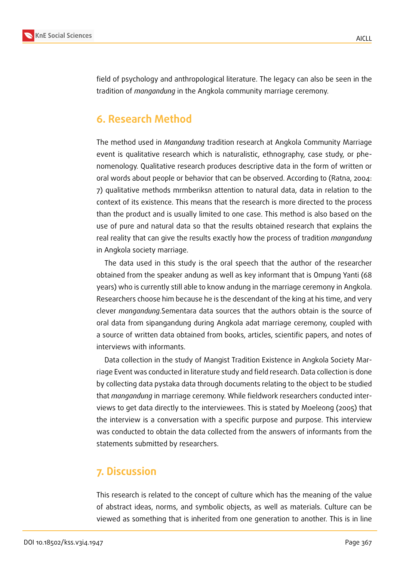

field of psychology and anthropological literature. The legacy can also be seen in the tradition of *mangandung* in the Angkola community marriage ceremony.

### **6. Research Method**

The method used in *Mangandung* tradition research at Angkola Community Marriage event is qualitative research which is naturalistic, ethnography, case study, or phenomenology. Qualitative research produces descriptive data in the form of written or oral words about people or behavior that can be observed. According to (Ratna, 2004: 7) qualitative methods mrmberiksn attention to natural data, data in relation to the context of its existence. This means that the research is more directed to the process than the product and is usually limited to one case. This method is also based on the use of pure and natural data so that the results obtained research that explains the real reality that can give the results exactly how the process of tradition *mangandung* in Angkola society marriage.

The data used in this study is the oral speech that the author of the researcher obtained from the speaker andung as well as key informant that is Ompung Yanti (68 years) who is currently still able to know andung in the marriage ceremony in Angkola. Researchers choose him because he is the descendant of the king at his time, and very clever *mangandung*.Sementara data sources that the authors obtain is the source of oral data from sipangandung during Angkola adat marriage ceremony, coupled with a source of written data obtained from books, articles, scientific papers, and notes of interviews with informants.

Data collection in the study of Mangist Tradition Existence in Angkola Society Marriage Event was conducted in literature study and field research. Data collection is done by collecting data pystaka data through documents relating to the object to be studied that *mangandung* in marriage ceremony. While fieldwork researchers conducted interviews to get data directly to the interviewees. This is stated by Moeleong (2005) that the interview is a conversation with a specific purpose and purpose. This interview was conducted to obtain the data collected from the answers of informants from the statements submitted by researchers.

#### **7. Discussion**

This research is related to the concept of culture which has the meaning of the value of abstract ideas, norms, and symbolic objects, as well as materials. Culture can be viewed as something that is inherited from one generation to another. This is in line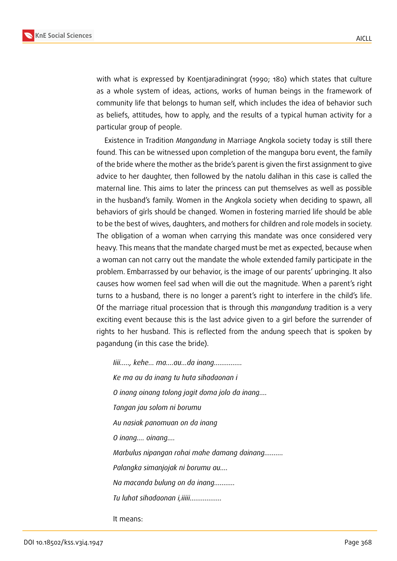

with what is expressed by Koentjaradiningrat (1990; 180) which states that culture as a whole system of ideas, actions, works of human beings in the framework of community life that belongs to human self, which includes the idea of behavior such as beliefs, attitudes, how to apply, and the results of a typical human activity for a particular group of people.

Existence in Tradition *Mangandung* in Marriage Angkola society today is still there found. This can be witnessed upon completion of the mangupa boru event, the family of the bride where the mother as the bride's parent is given the first assignment to give advice to her daughter, then followed by the natolu dalihan in this case is called the maternal line. This aims to later the princess can put themselves as well as possible in the husband's family. Women in the Angkola society when deciding to spawn, all behaviors of girls should be changed. Women in fostering married life should be able to be the best of wives, daughters, and mothers for children and role models in society. The obligation of a woman when carrying this mandate was once considered very heavy. This means that the mandate charged must be met as expected, because when a woman can not carry out the mandate the whole extended family participate in the problem. Embarrassed by our behavior, is the image of our parents' upbringing. It also causes how women feel sad when will die out the magnitude. When a parent's right turns to a husband, there is no longer a parent's right to interfere in the child's life. Of the marriage ritual procession that is through this *mangandung* tradition is a very exciting event because this is the last advice given to a girl before the surrender of rights to her husband. This is reflected from the andung speech that is spoken by pagandung (in this case the bride).

*Iiii....., kehe... ma....au...da inang............... Ke ma au da inang tu huta sihadaonan i O inang oinang tolong jagit doma jolo da inang.... Tangan jau solom ni borumu Au nasiak panomuan on da inang O inang.... oinang.... Marbulus nipangan rohai mahe damang dainang.......... Palangka simanjojak ni borumu au.... Na macanda bulung on da inang........... Tu luhat sihadaonan i,iiiii.................*

It means: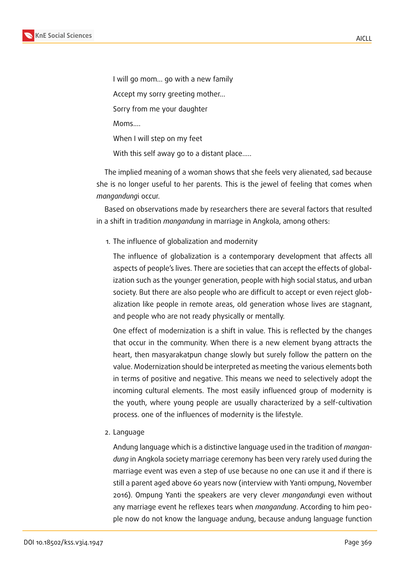

I will go mom... go with a new family

Accept my sorry greeting mother...

Sorry from me your daughter

Moms....

When I will step on my feet

With this self away go to a distant place.....

The implied meaning of a woman shows that she feels very alienated, sad because she is no longer useful to her parents. This is the jewel of feeling that comes when *mangandung*i occur.

Based on observations made by researchers there are several factors that resulted in a shift in tradition *mangandung* in marriage in Angkola, among others:

#### 1. The influence of globalization and modernity

The influence of globalization is a contemporary development that affects all aspects of people's lives. There are societies that can accept the effects of globalization such as the younger generation, people with high social status, and urban society. But there are also people who are difficult to accept or even reject globalization like people in remote areas, old generation whose lives are stagnant, and people who are not ready physically or mentally.

One effect of modernization is a shift in value. This is reflected by the changes that occur in the community. When there is a new element byang attracts the heart, then masyarakatpun change slowly but surely follow the pattern on the value. Modernization should be interpreted as meeting the various elements both in terms of positive and negative. This means we need to selectively adopt the incoming cultural elements. The most easily influenced group of modernity is the youth, where young people are usually characterized by a self-cultivation process. one of the influences of modernity is the lifestyle.

2. Language

Andung language which is a distinctive language used in the tradition of *mangandung* in Angkola society marriage ceremony has been very rarely used during the marriage event was even a step of use because no one can use it and if there is still a parent aged above 60 years now (interview with Yanti ompung, November 2016). Ompung Yanti the speakers are very clever *mangandung*i even without any marriage event he reflexes tears when *mangandung*. According to him people now do not know the language andung, because andung language function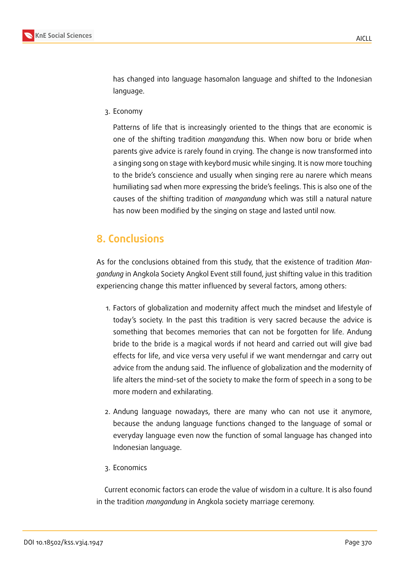

has changed into language hasomalon language and shifted to the Indonesian language.

3. Economy

Patterns of life that is increasingly oriented to the things that are economic is one of the shifting tradition *mangandung* this. When now boru or bride when parents give advice is rarely found in crying. The change is now transformed into a singing song on stage with keybord music while singing. It is now more touching to the bride's conscience and usually when singing rere au narere which means humiliating sad when more expressing the bride's feelings. This is also one of the causes of the shifting tradition of *mangandung* which was still a natural nature has now been modified by the singing on stage and lasted until now.

# **8. Conclusions**

As for the conclusions obtained from this study, that the existence of tradition *Mangandung* in Angkola Society Angkol Event still found, just shifting value in this tradition experiencing change this matter influenced by several factors, among others:

- 1. Factors of globalization and modernity affect much the mindset and lifestyle of today's society. In the past this tradition is very sacred because the advice is something that becomes memories that can not be forgotten for life. Andung bride to the bride is a magical words if not heard and carried out will give bad effects for life, and vice versa very useful if we want menderngar and carry out advice from the andung said. The influence of globalization and the modernity of life alters the mind-set of the society to make the form of speech in a song to be more modern and exhilarating.
- 2. Andung language nowadays, there are many who can not use it anymore, because the andung language functions changed to the language of somal or everyday language even now the function of somal language has changed into Indonesian language.
- 3. Economics

Current economic factors can erode the value of wisdom in a culture. It is also found in the tradition *mangandung* in Angkola society marriage ceremony.